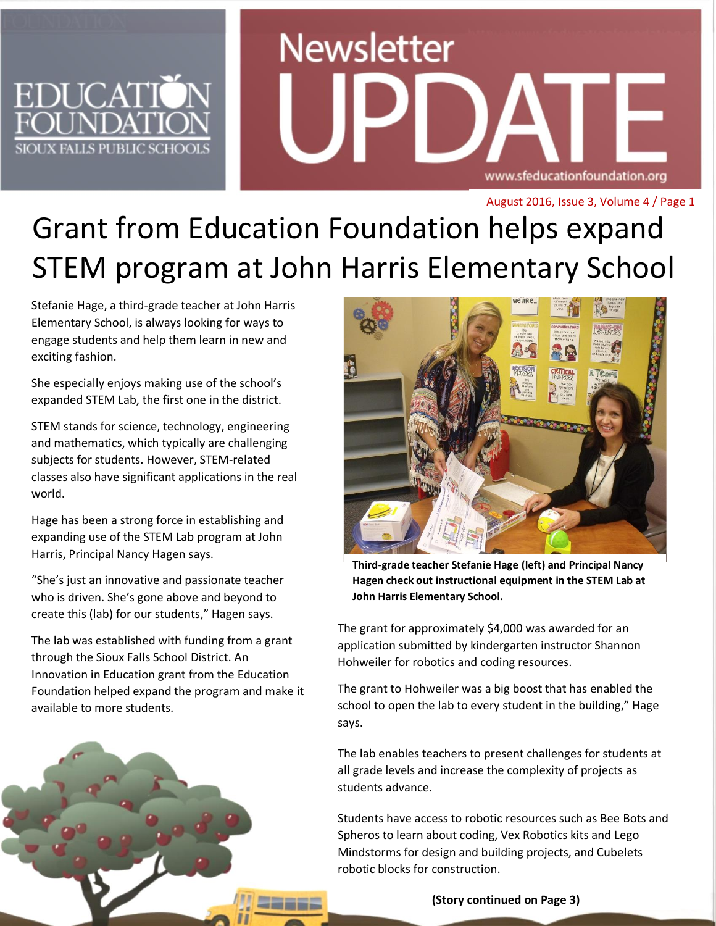## **EDUCAT** SIOUX FALLS PUBLIC SCHOOL

# **Newsletter** www.sfeducationfoundation.org

August 2016, Issue 3, Volume 4 / Page 1

## Grant from Education Foundation helps expand STEM program at John Harris Elementary School

Stefanie Hage, a third-grade teacher at John Harris Elementary School, is always looking for ways to engage students and help them learn in new and exciting fashion.

She especially enjoys making use of the school's expanded STEM Lab, the first one in the district.

STEM stands for science, technology, engineering and mathematics, which typically are challenging subjects for students. However, STEM-related classes also have significant applications in the real world.

Hage has been a strong force in establishing and expanding use of the STEM Lab program at John Harris, Principal Nancy Hagen says.

"She's just an innovative and passionate teacher who is driven. She's gone above and beyond to create this (lab) for our students," Hagen says.

The lab was established with funding from a grant through the Sioux Falls School District. An Innovation in Education grant from the Education Foundation helped expand the program and make it available to more students.



**Dr. Brian Maher John Harris Elementary School. Third-grade teacher Stefanie Hage (left) and Principal Nancy Hagen check out instructional equipment in the STEM Lab at** 

The grant for approximately \$4,000 was awarded for an application submitted by kindergarten instructor Shannon Hohweiler for robotics and coding resources.

The grant to Hohweiler was a big boost that has enabled the school to open the lab to every student in the building," Hage says.

The lab enables teachers to present challenges for students at all grade levels and increase the complexity of projects as students advance.

Students have access to robotic resources such as Bee Bots and Spheros to learn about coding, Vex Robotics kits and Lego Mindstorms for design and building projects, and Cubelets robotic blocks for construction.

**(Story continued on Page 3)**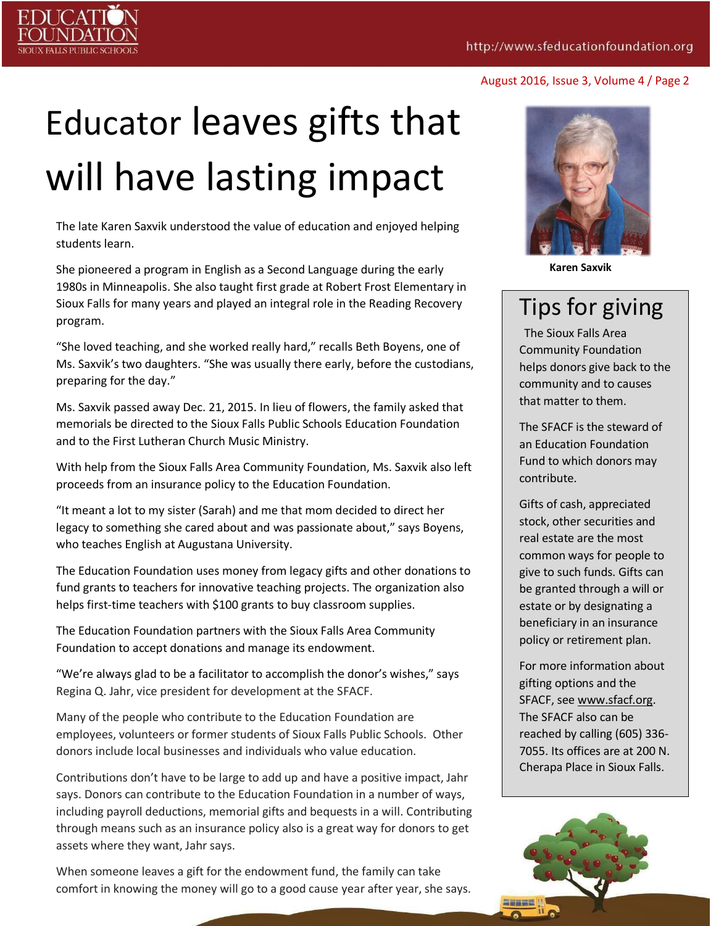## Educator leaves gifts that will have lasting impact

The late Karen Saxvik understood the value of education and enjoyed helping students learn.

She pioneered a program in English as a Second Language during the early 1980s in Minneapolis. She also taught first grade at Robert Frost Elementary in Sioux Falls for many years and played an integral role in the Reading Recovery program.

"She loved teaching, and she worked really hard," recalls Beth Boyens, one of Ms. Saxvik's two daughters. "She was usually there early, before the custodians, preparing for the day."

Ms. Saxvik passed away Dec. 21, 2015. In lieu of flowers, the family asked that memorials be directed to the Sioux Falls Public Schools Education Foundation and to the First Lutheran Church Music Ministry.

With help from the Sioux Falls Area Community Foundation, Ms. Saxvik also left proceeds from an insurance policy to the Education Foundation.

"It meant a lot to my sister (Sarah) and me that mom decided to direct her legacy to something she cared about and was passionate about," says Boyens, who teaches English at Augustana University.

The Education Foundation uses money from legacy gifts and other donations to fund grants to teachers for innovative teaching projects. The organization also helps first-time teachers with \$100 grants to buy classroom supplies.

The Education Foundation partners with the Sioux Falls Area Community Foundation to accept donations and manage its endowment.

"We're always glad to be a facilitator to accomplish the donor's wishes," says Regina Q. Jahr, vice president for development at the SFACF.

Many of the people who contribute to the Education Foundation are employees, volunteers or former students of Sioux Falls Public Schools. Other donors include local businesses and individuals who value education.

Contributions don't have to be large to add up and have a positive impact, Jahr says. Donors can contribute to the Education Foundation in a number of ways, including payroll deductions, memorial gifts and bequests in a will. Contributing through means such as an insurance policy also is a great way for donors to get assets where they want, Jahr says.

When someone leaves a gift for the endowment fund, the family can take comfort in knowing the money will go to a good cause year after year, she says.



**Karen Saxvik**

### Tips for giving

The Sioux Falls Area Community Foundation helps donors give back to the community and to causes that matter to them.

The SFACF is the steward of an Education Foundation Fund to which donors may contribute.

Gifts of cash, appreciated stock, other securities and real estate are the most common ways for people to give to such funds. Gifts can be granted through a will or estate or by designating a beneficiary in an insurance policy or retirement plan.

For more information about gifting options and the SFACF, see [www.sfacf.org.](http://www.sfacf.org/) The SFACF also can be reached by calling (605) 336- 7055. Its offices are at 200 N. Cherapa Place in Sioux Falls.



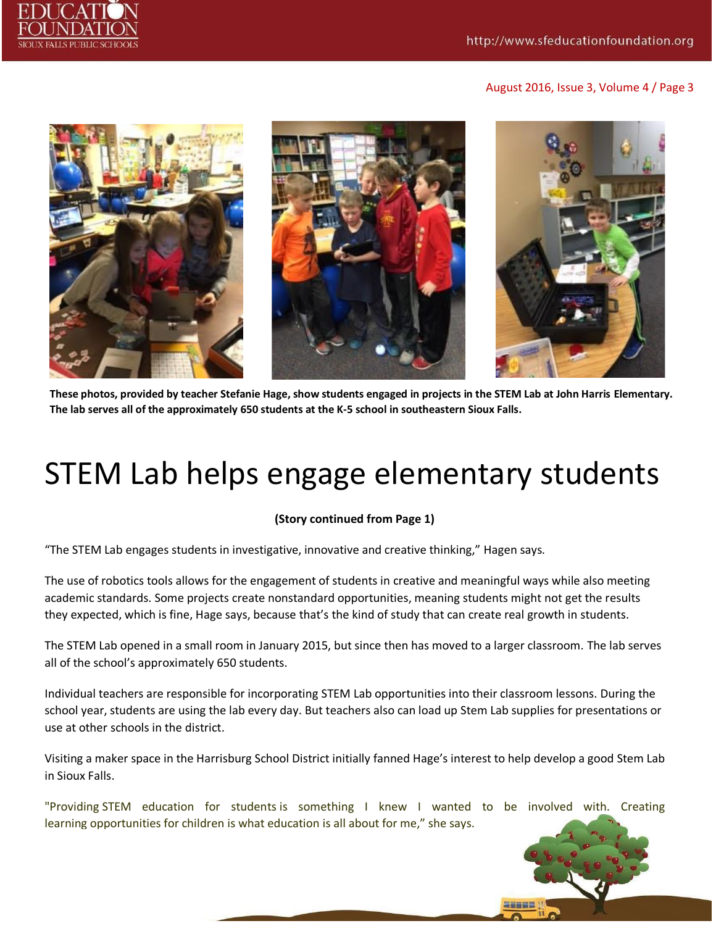



**These photos, provided by teacher Stefanie Hage, show students engaged in projects in the STEM Lab at John Harris Elementary. The lab serves all of the approximately 650 students at the K-5 school in southeastern Sioux Falls.**

## STEM Lab helps engage elementary students

#### **(Story continued from Page 1)**

"The STEM Lab engages students in investigative, innovative and creative thinking," Hagen says.

The use of robotics tools allows for the engagement of students in creative and meaningful ways while also meeting academic standards. Some projects create nonstandard opportunities, meaning students might not get the results they expected, which is fine, Hage says, because that's the kind of study that can create real growth in students.

The STEM Lab opened in a small room in January 2015, but since then has moved to a larger classroom. The lab serves all of the school's approximately 650 students.

Individual teachers are responsible for incorporating STEM Lab opportunities into their classroom lessons. During the school year, students are using the lab every day. But teachers also can load up Stem Lab supplies for presentations or use at other schools in the district.

Visiting a maker space in the Harrisburg School District initially fanned Hage's interest to help develop a good Stem Lab in Sioux Falls.

"Providing STEM education for students is something I knew I wanted to be involved with. Creating learning opportunities for children is what education is all about for me," she says.

In some cases, students explore nonstandard opportunities, meaning projects that might not end with the anticipated

result. That can present a real learning opportunities, Hage and Hagen say.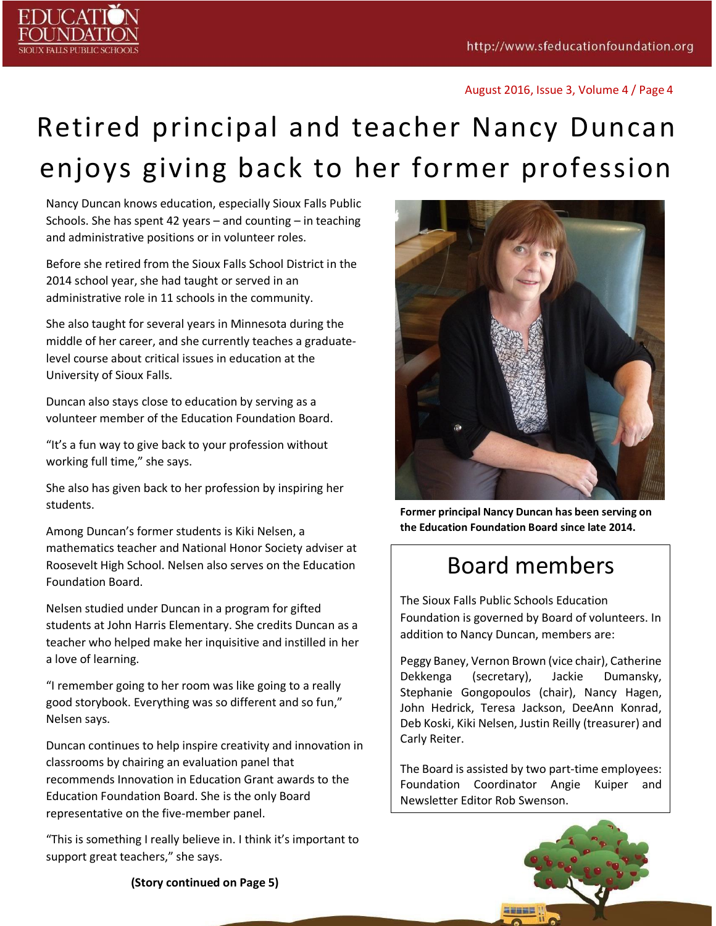

## Retired principal and teacher Nancy Duncan enjoys giving back to her former profession

Nancy Duncan knows education, especially Sioux Falls Public Schools. She has spent 42 years – and counting – in teaching and administrative positions or in volunteer roles.

Before she retired from the Sioux Falls School District in the 2014 school year, she had taught or served in an administrative role in 11 schools in the community.

She also taught for several years in Minnesota during the middle of her career, and she currently teaches a graduatelevel course about critical issues in education at the University of Sioux Falls.

Duncan also stays close to education by serving as a volunteer member of the Education Foundation Board.

"It's a fun way to give back to your profession without working full time," she says.

She also has given back to her profession by inspiring her students.

Among Duncan's former students is Kiki Nelsen, a mathematics teacher and National Honor Society adviser at Roosevelt High School. Nelsen also serves on the Education Foundation Board.

Nelsen studied under Duncan in a program for gifted students at John Harris Elementary. She credits Duncan as a teacher who helped make her inquisitive and instilled in her a love of learning.

"I remember going to her room was like going to a really good storybook. Everything was so different and so fun," Nelsen says.

Duncan continues to help inspire creativity and innovation in classrooms by chairing an evaluation panel that recommends Innovation in Education Grant awards to the Education Foundation Board. She is the only Board representative on the five-member panel.

"This is something I really believe in. I think it's important to support great teachers," she says.



**Former principal Nancy Duncan has been serving on the Education Foundation Board since late 2014.**

### Board members

The Sioux Falls Public Schools Education Foundation is governed by Board of volunteers. In addition to Nancy Duncan, members are:

Peggy Baney, Vernon Brown (vice chair), Catherine Dekkenga (secretary), Jackie Dumansky, Stephanie Gongopoulos (chair), Nancy Hagen, John Hedrick, Teresa Jackson, DeeAnn Konrad, Deb Koski, Kiki Nelsen, Justin Reilly (treasurer) and Carly Reiter.

The Board is assisted by two part-time employees: Foundation Coordinator Angie Kuiper and Newsletter Editor Rob Swenson.



**(Story continued on Page 5)**